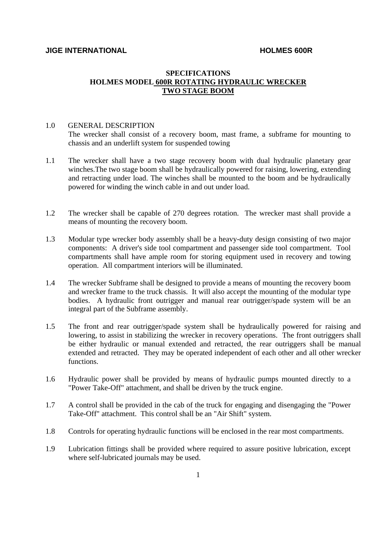## **SPECIFICATIONS HOLMES MODEL 600R ROTATING HYDRAULIC WRECKER TWO STAGE BOOM**

### 1.0 GENERAL DESCRIPTION

The wrecker shall consist of a recovery boom, mast frame, a subframe for mounting to chassis and an underlift system for suspended towing

- 1.1 The wrecker shall have a two stage recovery boom with dual hydraulic planetary gear winches.The two stage boom shall be hydraulically powered for raising, lowering, extending and retracting under load. The winches shall be mounted to the boom and be hydraulically powered for winding the winch cable in and out under load.
- 1.2 The wrecker shall be capable of 270 degrees rotation. The wrecker mast shall provide a means of mounting the recovery boom.
- 1.3 Modular type wrecker body assembly shall be a heavy-duty design consisting of two major components: A driver's side tool compartment and passenger side tool compartment. Tool compartments shall have ample room for storing equipment used in recovery and towing operation. All compartment interiors will be illuminated.
- 1.4 The wrecker Subframe shall be designed to provide a means of mounting the recovery boom and wrecker frame to the truck chassis. It will also accept the mounting of the modular type bodies. A hydraulic front outrigger and manual rear outrigger/spade system will be an integral part of the Subframe assembly.
- 1.5 The front and rear outrigger/spade system shall be hydraulically powered for raising and lowering, to assist in stabilizing the wrecker in recovery operations. The front outriggers shall be either hydraulic or manual extended and retracted, the rear outriggers shall be manual extended and retracted. They may be operated independent of each other and all other wrecker functions.
- 1.6 Hydraulic power shall be provided by means of hydraulic pumps mounted directly to a "Power Take-Off" attachment, and shall be driven by the truck engine.
- 1.7 A control shall be provided in the cab of the truck for engaging and disengaging the "Power Take-Off" attachment. This control shall be an "Air Shift" system.
- 1.8 Controls for operating hydraulic functions will be enclosed in the rear most compartments.
- 1.9 Lubrication fittings shall be provided where required to assure positive lubrication, except where self-lubricated journals may be used.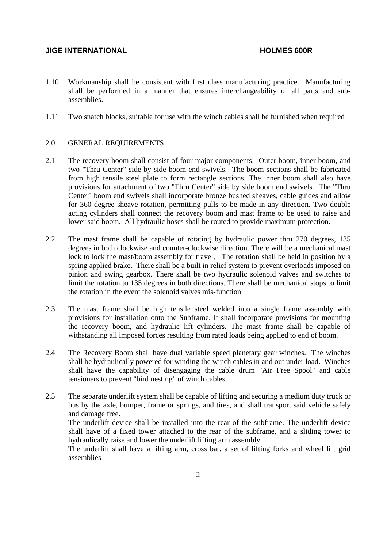- 1.10 Workmanship shall be consistent with first class manufacturing practice. Manufacturing shall be performed in a manner that ensures interchangeability of all parts and subassemblies.
- 1.11 Two snatch blocks, suitable for use with the winch cables shall be furnished when required

### 2.0 GENERAL REQUIREMENTS

- 2.1 The recovery boom shall consist of four major components: Outer boom, inner boom, and two "Thru Center" side by side boom end swivels. The boom sections shall be fabricated from high tensile steel plate to form rectangle sections. The inner boom shall also have provisions for attachment of two "Thru Center" side by side boom end swivels. The "Thru Center" boom end swivels shall incorporate bronze bushed sheaves, cable guides and allow for 360 degree sheave rotation, permitting pulls to be made in any direction. Two double acting cylinders shall connect the recovery boom and mast frame to be used to raise and lower said boom. All hydraulic hoses shall be routed to provide maximum protection.
- 2.2 The mast frame shall be capable of rotating by hydraulic power thru 270 degrees, 135 degrees in both clockwise and counter-clockwise direction. There will be a mechanical mast lock to lock the mast/boom assembly for travel, The rotation shall be held in position by a spring applied brake. There shall be a built in relief system to prevent overloads imposed on pinion and swing gearbox. There shall be two hydraulic solenoid valves and switches to limit the rotation to 135 degrees in both directions. There shall be mechanical stops to limit the rotation in the event the solenoid valves mis-function
- 2.3 The mast frame shall be high tensile steel welded into a single frame assembly with provisions for installation onto the Subframe. It shall incorporate provisions for mounting the recovery boom, and hydraulic lift cylinders. The mast frame shall be capable of withstanding all imposed forces resulting from rated loads being applied to end of boom.
- 2.4 The Recovery Boom shall have dual variable speed planetary gear winches. The winches shall be hydraulically powered for winding the winch cables in and out under load. Winches shall have the capability of disengaging the cable drum "Air Free Spool" and cable tensioners to prevent "bird nesting" of winch cables.
- 2.5 The separate underlift system shall be capable of lifting and securing a medium duty truck or bus by the axle, bumper, frame or springs, and tires, and shall transport said vehicle safely and damage free.

 The underlift device shall be installed into the rear of the subframe. The underlift device shall have of a fixed tower attached to the rear of the subframe, and a sliding tower to hydraulically raise and lower the underlift lifting arm assembly

 The underlift shall have a lifting arm, cross bar, a set of lifting forks and wheel lift grid assemblies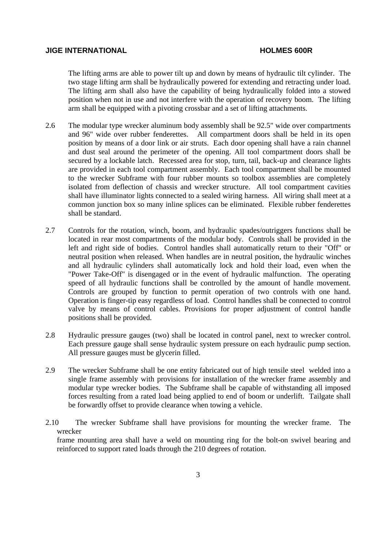The lifting arms are able to power tilt up and down by means of hydraulic tilt cylinder. The two stage lifting arm shall be hydraulically powered for extending and retracting under load. The lifting arm shall also have the capability of being hydraulically folded into a stowed position when not in use and not interfere with the operation of recovery boom. The lifting arm shall be equipped with a pivoting crossbar and a set of lifting attachments.

- 2.6 The modular type wrecker aluminum body assembly shall be 92.5" wide over compartments and 96" wide over rubber fenderettes. All compartment doors shall be held in its open position by means of a door link or air struts. Each door opening shall have a rain channel and dust seal around the perimeter of the opening. All tool compartment doors shall be secured by a lockable latch. Recessed area for stop, turn, tail, back-up and clearance lights are provided in each tool compartment assembly. Each tool compartment shall be mounted to the wrecker Subframe with four rubber mounts so toolbox assemblies are completely isolated from deflection of chassis and wrecker structure. All tool compartment cavities shall have illuminator lights connected to a sealed wiring harness. All wiring shall meet at a common junction box so many inline splices can be eliminated. Flexible rubber fenderettes shall be standard.
- 2.7 Controls for the rotation, winch, boom, and hydraulic spades/outriggers functions shall be located in rear most compartments of the modular body. Controls shall be provided in the left and right side of bodies. Control handles shall automatically return to their "Off" or neutral position when released. When handles are in neutral position, the hydraulic winches and all hydraulic cylinders shall automatically lock and hold their load, even when the "Power Take-Off" is disengaged or in the event of hydraulic malfunction. The operating speed of all hydraulic functions shall be controlled by the amount of handle movement. Controls are grouped by function to permit operation of two controls with one hand. Operation is finger-tip easy regardless of load. Control handles shall be connected to control valve by means of control cables. Provisions for proper adjustment of control handle positions shall be provided.
- 2.8 Hydraulic pressure gauges (two) shall be located in control panel, next to wrecker control. Each pressure gauge shall sense hydraulic system pressure on each hydraulic pump section. All pressure gauges must be glycerin filled.
- 2.9 The wrecker Subframe shall be one entity fabricated out of high tensile steel welded into a single frame assembly with provisions for installation of the wrecker frame assembly and modular type wrecker bodies. The Subframe shall be capable of withstanding all imposed forces resulting from a rated load being applied to end of boom or underlift. Tailgate shall be forwardly offset to provide clearance when towing a vehicle.
- 2.10 The wrecker Subframe shall have provisions for mounting the wrecker frame. The wrecker frame mounting area shall have a weld on mounting ring for the bolt-on swivel bearing and

reinforced to support rated loads through the 210 degrees of rotation.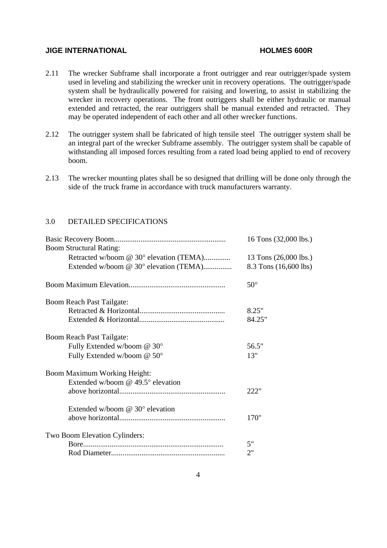- 2.11 The wrecker Subframe shall incorporate a front outrigger and rear outrigger/spade system used in leveling and stabilizing the wrecker unit in recovery operations. The outrigger/spade system shall be hydraulically powered for raising and lowering, to assist in stabilizing the wrecker in recovery operations. The front outriggers shall be either hydraulic or manual extended and retracted, the rear outriggers shall be manual extended and retracted. They may be operated independent of each other and all other wrecker functions.
- 2.12 The outrigger system shall be fabricated of high tensile steel The outrigger system shall be an integral part of the wrecker Subframe assembly. The outrigger system shall be capable of withstanding all imposed forces resulting from a rated load being applied to end of recovery boom.
- 2.13 The wrecker mounting plates shall be so designed that drilling will be done only through the side of the truck frame in accordance with truck manufacturers warranty.

## 3.0 DETAILED SPECIFICATIONS

|                                         | 16 Tons (32,000 lbs.) |
|-----------------------------------------|-----------------------|
| <b>Boom Structural Rating:</b>          |                       |
| Retracted w/boom @ 30° elevation (TEMA) | 13 Tons (26,000 lbs.) |
| Extended w/boom @ 30° elevation (TEMA)  | 8.3 Tons (16,600 lbs) |
|                                         | $50^{\circ}$          |
| <b>Boom Reach Past Tailgate:</b>        |                       |
|                                         | 8.25"                 |
|                                         | 84.25"                |
| Boom Reach Past Tailgate:               |                       |
| Fully Extended w/boom @ 30°             | 56.5"                 |
| Fully Extended w/boom @ 50°             | 13"                   |
| <b>Boom Maximum Working Height:</b>     |                       |
| Extended w/boom @ 49.5° elevation       |                       |
|                                         | 222"                  |
| Extended w/boom @ 30° elevation         |                       |
|                                         | 170"                  |
| Two Boom Elevation Cylinders:           |                       |
|                                         | 5"                    |
|                                         | 2"                    |
|                                         |                       |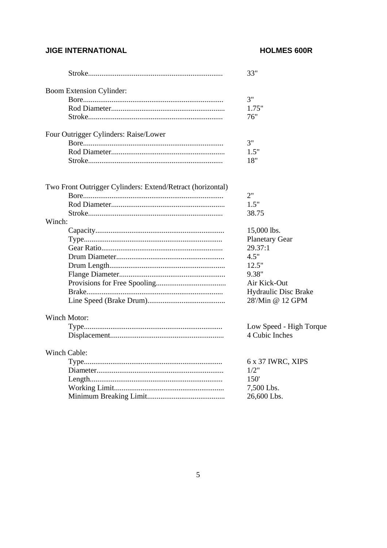## **JIGE INTERNATIONAL**

## **HOLMES 600R**

|                                                            | 33"                     |
|------------------------------------------------------------|-------------------------|
| <b>Boom Extension Cylinder:</b>                            |                         |
|                                                            | 3"                      |
|                                                            | 1.75"                   |
|                                                            | 76"                     |
| Four Outrigger Cylinders: Raise/Lower                      |                         |
|                                                            | 3"                      |
|                                                            | 1.5"                    |
|                                                            | 18"                     |
|                                                            |                         |
| Two Front Outrigger Cylinders: Extend/Retract (horizontal) | 2"                      |
|                                                            |                         |
|                                                            | 1.5"                    |
|                                                            | 38.75                   |
| Winch:                                                     |                         |
|                                                            | 15,000 lbs.             |
|                                                            | <b>Planetary Gear</b>   |
|                                                            | 29.37:1                 |
|                                                            | 4.5"                    |
|                                                            | 12.5"                   |
|                                                            | 9.38"                   |
|                                                            | Air Kick-Out            |
|                                                            | Hydraulic Disc Brake    |
|                                                            | 28'/Min @ 12 GPM        |
| Winch Motor:                                               |                         |
|                                                            | Low Speed - High Torque |
|                                                            | 4 Cubic Inches          |
|                                                            |                         |
| Winch Cable:                                               |                         |
|                                                            | 6 x 37 IWRC, XIPS       |
|                                                            | 1/2"                    |
|                                                            | 150 <sup>'</sup>        |
|                                                            | 7,500 Lbs.              |
|                                                            | 26,600 Lbs.             |
|                                                            |                         |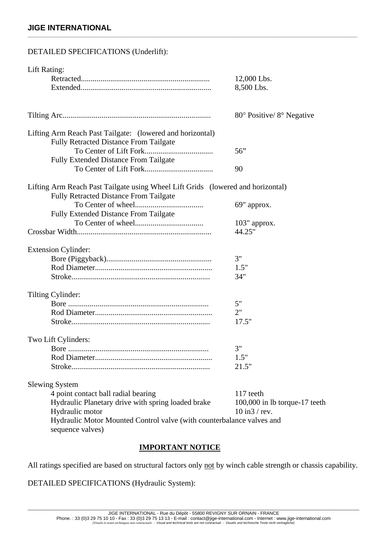## **JIGE INTERNATIONAL**

# DETAILED SPECIFICATIONS (Underlift): Lift Rating: Retracted.................................................................. 12,000 Lbs. Extended................................................................... 8,500 Lbs. Tilting Arc............................................................................ 80° Positive/ 8° Negative Lifting Arm Reach Past Tailgate: (lowered and horizontal) Fully Retracted Distance From Tailgate To Center of Lift Fork................................... 56" Fully Extended Distance From Tailgate To Center of Lift Fork................................... 90 Lifting Arm Reach Past Tailgate using Wheel Lift Grids (lowered and horizontal) Fully Retracted Distance From Tailgate To Center of wheel................................... 69" approx. Fully Extended Distance From Tailgate To Center of wheel................................... 103" approx. Crossbar Width..................................................................... 44.25" Extension Cylinder: Bore (Piggyback)...................................................... 3" Rod Diameter............................................................ 1.5" Stroke....................................................................... 34" Tilting Cylinder: Bore ........................................................................ 5" Rod Diameter............................................................ 2" Stroke....................................................................... 17.5" Two Lift Cylinders: Bore ........................................................................ 3" Rod Diameter............................................................ 1.5" Stroke....................................................................... 21.5" Slewing System 4 point contact ball radial bearing 117 teeth Hydraulic Planetary drive with spring loaded brake 100,000 in lb torque-17 teeth Hydraulic motor 10 in3 / rev. Hydraulic Motor Mounted Control valve (with counterbalance valves and sequence valves)

**\_\_\_\_\_\_\_\_\_\_\_\_\_\_\_\_\_\_\_\_\_\_\_\_\_\_\_\_\_\_\_\_\_\_\_\_\_\_\_\_\_\_\_\_\_\_\_\_\_\_\_\_\_\_\_\_\_\_\_\_\_\_\_\_\_\_\_\_\_\_\_\_\_\_\_\_\_\_\_\_\_\_\_\_\_\_\_\_\_\_\_\_\_\_\_\_\_\_\_\_\_\_\_\_\_\_\_\_\_\_\_\_\_\_** 

## **IMPORTANT NOTICE**

All ratings specified are based on structural factors only not by winch cable strength or chassis capability.

DETAILED SPECIFICATIONS (Hydraulic System):